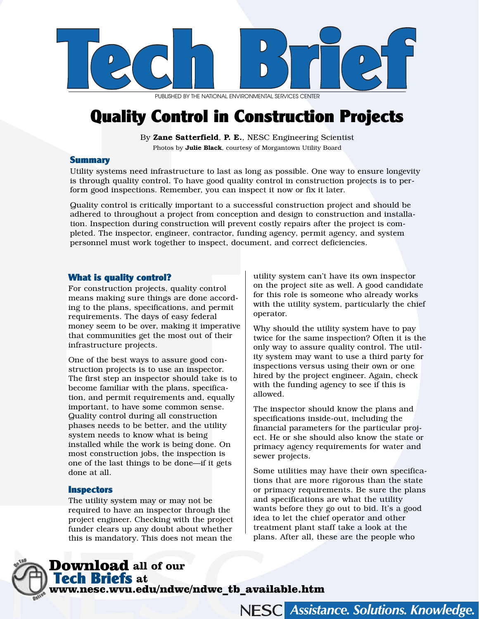

PUBLISHED BY THE NATIONAL ENVIRONMENTAL SERVICES CENTER

# Quality Control in Construction Projects

By [Zane Satterfield](mailto:zsatterfield@mail.nesc.wvu.edu), P. E., NESC Engineering Scientist Photos by Julie Black, courtesy of Morgantown Utility Board

#### Summary

Utility systems need infrastructure to last as long as possible. One way to ensure longevity is through quality control. To have good quality control in construction projects is to perform good inspections. Remember, you can inspect it now or fix it later.

Quality control is critically important to a successful construction project and should be adhered to throughout a project from conception and design to construction and installation. Inspection during construction will prevent costly repairs after the project is completed. The inspector, engineer, contractor, funding agency, permit agency, and system personnel must work together to inspect, document, and correct deficiencies.

#### What is quality control?

For construction projects, quality control means making sure things are done according to the plans, specifications, and permit requirements. The days of easy federal money seem to be over, making it imperative that communities get the most out of their infrastructure projects.

One of the best ways to assure good construction projects is to use an inspector. The first step an inspector should take is to become familiar with the plans, specification, and permit requirements and, equally important, to have some common sense. Quality control during all construction phases needs to be better, and the utility system needs to know what is being installed while the work is being done. On most construction jobs, the inspection is one of the last things to be done—if it gets done at all.

#### **Inspectors**

The utility system may or may not be required to have an inspector through the project engineer. Checking with the project funder clears up any doubt about whether this is mandatory. This does not mean the

utility system can't have its own inspector on the project site as well. A good candidate for this role is someone who already works with the utility system, particularly the chief operator.

Why should the utility system have to pay twice for the same inspection? Often it is the only way to assure quality control. The utility system may want to use a third party for inspections versus using their own or one hired by the project engineer. Again, check with the funding agency to see if this is allowed.

The inspector should know the plans and specifications inside-out, including the financial parameters for the particular project. He or she should also know the state or primacy agency requirements for water and sewer projects.

Some utilities may have their own specifications that are more rigorous than the state or primacy requirements. Be sure the plans and specifications are what the utility wants before they go out to bid. It's a good idea to let the chief operator and other treatment plant staff take a look at the plans. After all, these are the people who

**Assistance. Solutions. Knowledge.** 

Download **all of our**  Tech Briefs **at**  [www.nesc.wvu.edu/ndwc/ndwc\\_tb\\_available.htm](http://www.nesc.wvu.edu/ndwc/ndwc_tb_available.htm)

**NESC**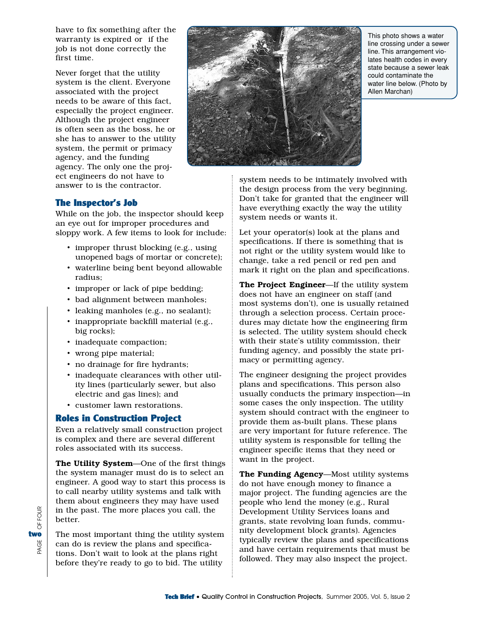have to fix something after the warranty is expired or if the job is not done correctly the first time.

Never forget that the utility system is the client. Everyone associated with the project needs to be aware of this fact, especially the project engineer. Although the project engineer is often seen as the boss, he or she has to answer to the utility system, the permit or primacy agency, and the funding agency. The only one the project engineers do not have to answer to is the contractor.



This photo shows a water line crossing under a sewer line. This arrangement violates health codes in every state because a sewer leak could contaminate the water line below. (Photo by Allen Marchan)

# The Inspector's Job

While on the job, the inspector should keep an eye out for improper procedures and sloppy work. A few items to look for include:

- improper thrust blocking (e.g., using unopened bags of mortar or concrete);
- waterline being bent beyond allowable radius;
- improper or lack of pipe bedding;
- bad alignment between manholes;
- leaking manholes (e.g., no sealant);
- inappropriate backfill material (e.g., big rocks);
- inadequate compaction;
- wrong pipe material;
- no drainage for fire hydrants;
- inadequate clearances with other utility lines (particularly sewer, but also electric and gas lines); and
- customer lawn restorations.

# Roles in Construction Project

Even a relatively small construction project is complex and there are several different roles associated with its success.

The Utility System—One of the first things the system manager must do is to select an engineer. A good way to start this process is to call nearby utility systems and talk with them about engineers they may have used in the past. The more places you call, the better.

The most important thing the utility system can do is review the plans and specifications. Don't wait to look at the plans right before they're ready to go to bid. The utility

system needs to be intimately involved with the design process from the very beginning. Don't take for granted that the engineer will have everything exactly the way the utility system needs or wants it.

Let your operator(s) look at the plans and specifications. If there is something that is not right or the utility system would like to change, take a red pencil or red pen and mark it right on the plan and specifications.

The Project Engineer—If the utility system does not have an engineer on staff (and most systems don't), one is usually retained through a selection process. Certain procedures may dictate how the engineering firm is selected. The utility system should check with their state's utility commission, their funding agency, and possibly the state primacy or permitting agency.

The engineer designing the project provides plans and specifications. This person also usually conducts the primary inspection—in some cases the only inspection. The utility system should contract with the engineer to provide them as-built plans. These plans are very important for future reference. The utility system is responsible for telling the engineer specific items that they need or want in the project.

The Funding Agency—Most utility systems do not have enough money to finance a major project. The funding agencies are the people who lend the money (e.g., Rural Development Utility Services loans and grants, state revolving loan funds, community development block grants). Agencies typically review the plans and specifications and have certain requirements that must be followed. They may also inspect the project.

OF FOUR GE OF FOUR two PAGE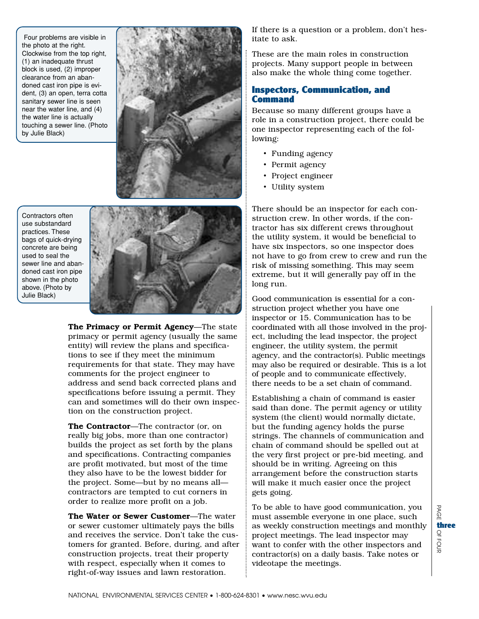Four problems are visible in the photo at the right. Clockwise from the top right, (1) an inadequate thrust block is used, (2) improper clearance from an abandoned cast iron pipe is evident, (3) an open, terra cotta sanitary sewer line is seen near the water line, and (4) the water line is actually touching a sewer line. (Photo by Julie Black)



Contractors often use substandard practices. These bags of quick-drying concrete are being used to seal the sewer line and abandoned cast iron pipe shown in the photo above. (Photo by Julie Black)



The Primacy or Permit Agency-The state primacy or permit agency (usually the same entity) will review the plans and specifications to see if they meet the minimum requirements for that state. They may have comments for the project engineer to address and send back corrected plans and specifications before issuing a permit. They can and sometimes will do their own inspection on the construction project.

The Contractor—The contractor (or, on really big jobs, more than one contractor) builds the project as set forth by the plans and specifications. Contracting companies are profit motivated, but most of the time they also have to be the lowest bidder for the project. Some—but by no means all contractors are tempted to cut corners in order to realize more profit on a job.

The Water or Sewer Customer—The water or sewer customer ultimately pays the bills and receives the service. Don't take the customers for granted. Before, during, and after construction projects, treat their property with respect, especially when it comes to right-of-way issues and lawn restoration.

If there is a question or a problem, don't hesitate to ask.

These are the main roles in construction projects. Many support people in between also make the whole thing come together.

# Inspectors, Communication, and **Command**

Because so many different groups have a role in a construction project, there could be one inspector representing each of the following:

- Funding agency
- Permit agency
- Project engineer
- Utility system

There should be an inspector for each construction crew. In other words, if the contractor has six different crews throughout the utility system, it would be beneficial to have six inspectors, so one inspector does not have to go from crew to crew and run the risk of missing something. This may seem extreme, but it will generally pay off in the long run.

Good communication is essential for a construction project whether you have one inspector or 15. Communication has to be coordinated with all those involved in the project, including the lead inspector, the project engineer, the utility system, the permit agency, and the contractor(s). Public meetings may also be required or desirable. This is a lot of people and to communicate effectively, there needs to be a set chain of command.

Establishing a chain of command is easier said than done. The permit agency or utility system (the client) would normally dictate, but the funding agency holds the purse strings. The channels of communication and chain of command should be spelled out at the very first project or pre-bid meeting, and should be in writing. Agreeing on this arrangement before the construction starts will make it much easier once the project gets going.

To be able to have good communication, you must assemble everyone in one place, such as weekly construction meetings and monthly project meetings. The lead inspector may want to confer with the other inspectors and contractor(s) on a daily basis. Take notes or videotape the meetings.

B  $\Omega$ OF FOUR three